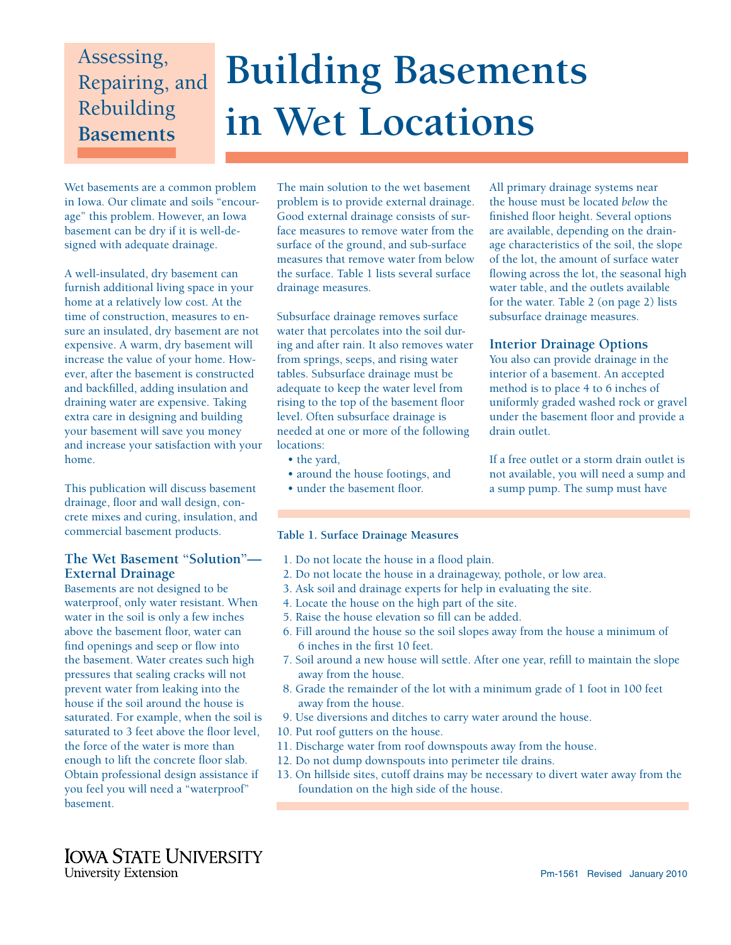# Assessing, Repairing, and Rebuilding **Basements**

# **Building Basements in Wet Locations**

Wet basements are a common problem in Iowa. Our climate and soils "encourage" this problem. However, an Iowa basement can be dry if it is well-designed with adequate drainage.

A well-insulated, dry basement can furnish additional living space in your home at a relatively low cost. At the time of construction, measures to ensure an insulated, dry basement are not expensive. A warm, dry basement will increase the value of your home. However, after the basement is constructed and backfilled, adding insulation and draining water are expensive. Taking extra care in designing and building your basement will save you money and increase your satisfaction with your home.

This publication will discuss basement drainage, floor and wall design, concrete mixes and curing, insulation, and commercial basement products.

# **The Wet Basement "Solution"— External Drainage**

Basements are not designed to be waterproof, only water resistant. When water in the soil is only a few inches above the basement floor, water can find openings and seep or flow into the basement. Water creates such high pressures that sealing cracks will not prevent water from leaking into the house if the soil around the house is saturated. For example, when the soil is saturated to 3 feet above the floor level. the force of the water is more than enough to lift the concrete floor slab. Obtain professional design assistance if you feel you will need a "waterproof" basement.

The main solution to the wet basement problem is to provide external drainage. Good external drainage consists of surface measures to remove water from the surface of the ground, and sub-surface measures that remove water from below the surface. Table 1 lists several surface drainage measures.

Subsurface drainage removes surface water that percolates into the soil during and after rain. It also removes water from springs, seeps, and rising water tables. Subsurface drainage must be adequate to keep the water level from rising to the top of the basement floor level. Often subsurface drainage is needed at one or more of the following locations:

- the yard,
- around the house footings, and
- under the basement floor.

All primary drainage systems near the house must be located *below* the finished floor height. Several options are available, depending on the drainage characteristics of the soil, the slope of the lot, the amount of surface water flowing across the lot, the seasonal high water table, and the outlets available for the water. Table 2 (on page 2) lists subsurface drainage measures.

# **Interior Drainage Options**

You also can provide drainage in the interior of a basement. An accepted method is to place 4 to 6 inches of uniformly graded washed rock or gravel under the basement floor and provide a drain outlet.

If a free outlet or a storm drain outlet is not available, you will need a sump and a sump pump. The sump must have

## **Table 1. Surface Drainage Measures**

- 1. Do not locate the house in a flood plain.
- 2. Do not locate the house in a drainageway, pothole, or low area.
- 3. Ask soil and drainage experts for help in evaluating the site.
- 4. Locate the house on the high part of the site.
- 5. Raise the house elevation so fill can be added.
- 6. Fill around the house so the soil slopes away from the house a minimum of 6 inches in the first 10 feet.
- 7. Soil around a new house will settle. After one year, refill to maintain the slope away from the house.
- 8. Grade the remainder of the lot with a minimum grade of 1 foot in 100 feet away from the house.
- 9. Use diversions and ditches to carry water around the house.
- 10. Put roof gutters on the house.
- 11. Discharge water from roof downspouts away from the house.
- 12. Do not dump downspouts into perimeter tile drains.
- 13. On hillside sites, cutoff drains may be necessary to divert water away from the foundation on the high side of the house.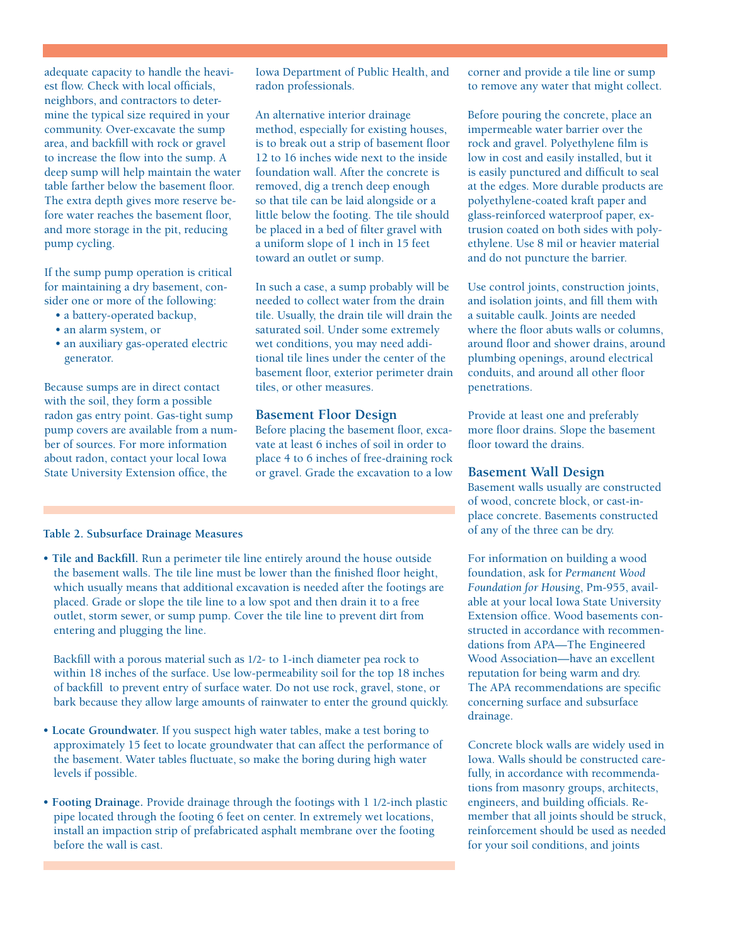adequate capacity to handle the heaviest flow. Check with local officials, neighbors, and contractors to determine the typical size required in your community. Over-excavate the sump area, and backfill with rock or gravel to increase the flow into the sump. A deep sump will help maintain the water table farther below the basement floor. The extra depth gives more reserve before water reaches the basement floor, and more storage in the pit, reducing pump cycling.

If the sump pump operation is critical for maintaining a dry basement, consider one or more of the following:

- a battery-operated backup,
- an alarm system, or
- an auxiliary gas-operated electric generator.

Because sumps are in direct contact with the soil, they form a possible radon gas entry point. Gas-tight sump pump covers are available from a number of sources. For more information about radon, contact your local Iowa State University Extension office, the

Iowa Department of Public Health, and radon professionals.

An alternative interior drainage method, especially for existing houses, is to break out a strip of basement floor 12 to 16 inches wide next to the inside foundation wall. After the concrete is removed, dig a trench deep enough so that tile can be laid alongside or a little below the footing. The tile should be placed in a bed of filter gravel with a uniform slope of 1 inch in 15 feet toward an outlet or sump.

In such a case, a sump probably will be needed to collect water from the drain tile. Usually, the drain tile will drain the saturated soil. Under some extremely wet conditions, you may need additional tile lines under the center of the basement floor, exterior perimeter drain tiles, or other measures.

#### **Basement Floor Design**

Before placing the basement floor, excavate at least 6 inches of soil in order to place 4 to 6 inches of free-draining rock or gravel. Grade the excavation to a low

#### **Table 2. Subsurface Drainage Measures**

• Tile and Backfill. Run a perimeter tile line entirely around the house outside the basement walls. The tile line must be lower than the finished floor height, which usually means that additional excavation is needed after the footings are placed. Grade or slope the tile line to a low spot and then drain it to a free outlet, storm sewer, or sump pump. Cover the tile line to prevent dirt from entering and plugging the line.

Backfill with a porous material such as 1/2- to 1-inch diameter pea rock to within 18 inches of the surface. Use low-permeability soil for the top 18 inches of backfill to prevent entry of surface water. Do not use rock, gravel, stone, or bark because they allow large amounts of rainwater to enter the ground quickly.

- **Locate Groundwater.** If you suspect high water tables, make a test boring to approximately 15 feet to locate groundwater that can affect the performance of the basement. Water tables fluctuate, so make the boring during high water levels if possible.
- • **Footing Drainage.** Provide drainage through the footings with 1 1/2-inch plastic pipe located through the footing 6 feet on center. In extremely wet locations, install an impaction strip of prefabricated asphalt membrane over the footing before the wall is cast.

corner and provide a tile line or sump to remove any water that might collect.

Before pouring the concrete, place an impermeable water barrier over the rock and gravel. Polyethylene film is low in cost and easily installed, but it is easily punctured and difficult to seal at the edges. More durable products are polyethylene-coated kraft paper and glass-reinforced waterproof paper, extrusion coated on both sides with polyethylene. Use 8 mil or heavier material and do not puncture the barrier.

Use control joints, construction joints, and isolation joints, and fill them with a suitable caulk. Joints are needed where the floor abuts walls or columns, around floor and shower drains, around plumbing openings, around electrical conduits, and around all other floor penetrations.

Provide at least one and preferably more floor drains. Slope the basement floor toward the drains.

#### **Basement Wall Design**

Basement walls usually are constructed of wood, concrete block, or cast-inplace concrete. Basements constructed of any of the three can be dry.

For information on building a wood foundation, ask for *Permanent Wood Foundation for Housing*, Pm-955, available at your local Iowa State University Extension office. Wood basements constructed in accordance with recommendations from APA—The Engineered Wood Association—have an excellent reputation for being warm and dry. The APA recommendations are specific concerning surface and subsurface drainage.

Concrete block walls are widely used in Iowa. Walls should be constructed carefully, in accordance with recommendations from masonry groups, architects, engineers, and building officials. Remember that all joints should be struck, reinforcement should be used as needed for your soil conditions, and joints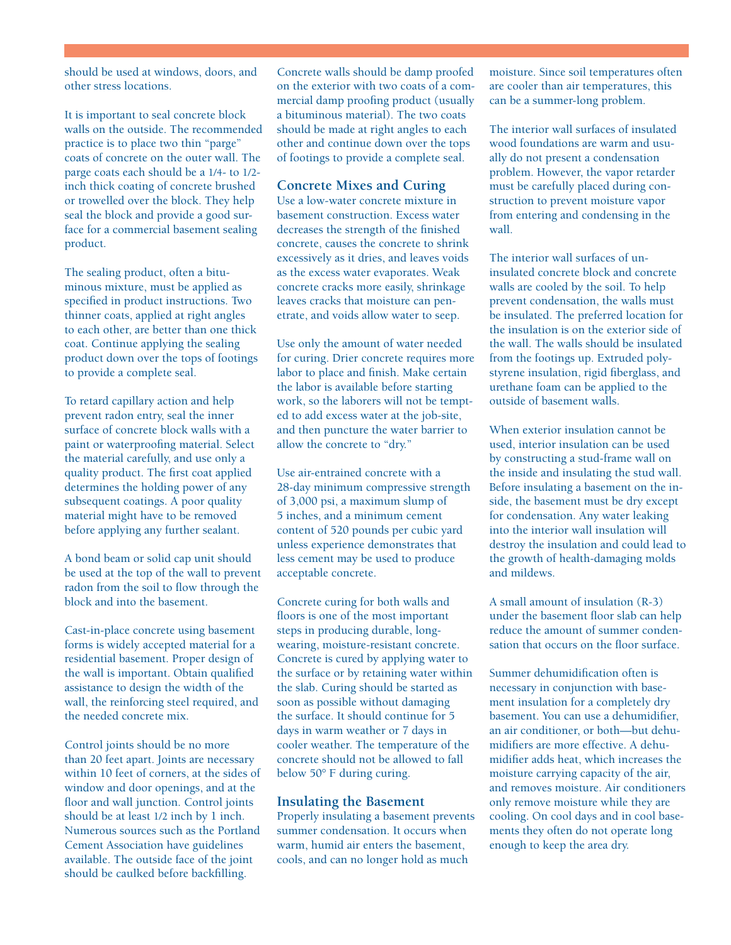should be used at windows, doors, and other stress locations.

It is important to seal concrete block walls on the outside. The recommended practice is to place two thin "parge" coats of concrete on the outer wall. The parge coats each should be a 1/4- to 1/2 inch thick coating of concrete brushed or trowelled over the block. They help seal the block and provide a good surface for a commercial basement sealing product.

The sealing product, often a bituminous mixture, must be applied as specified in product instructions. Two thinner coats, applied at right angles to each other, are better than one thick coat. Continue applying the sealing product down over the tops of footings to provide a complete seal.

To retard capillary action and help prevent radon entry, seal the inner surface of concrete block walls with a paint or waterproofing material. Select the material carefully, and use only a quality product. The first coat applied determines the holding power of any subsequent coatings. A poor quality material might have to be removed before applying any further sealant.

A bond beam or solid cap unit should be used at the top of the wall to prevent radon from the soil to flow through the block and into the basement.

Cast-in-place concrete using basement forms is widely accepted material for a residential basement. Proper design of the wall is important. Obtain qualified assistance to design the width of the wall, the reinforcing steel required, and the needed concrete mix.

Control joints should be no more than 20 feet apart. Joints are necessary within 10 feet of corners, at the sides of window and door openings, and at the floor and wall junction. Control joints should be at least  $1/2$  inch by 1 inch. Numerous sources such as the Portland Cement Association have guidelines available. The outside face of the joint should be caulked before backfilling.

Concrete walls should be damp proofed on the exterior with two coats of a commercial damp proofing product (usually a bituminous material). The two coats should be made at right angles to each other and continue down over the tops of footings to provide a complete seal.

## **Concrete Mixes and Curing**

Use a low-water concrete mixture in basement construction. Excess water decreases the strength of the finished concrete, causes the concrete to shrink excessively as it dries, and leaves voids as the excess water evaporates. Weak concrete cracks more easily, shrinkage leaves cracks that moisture can penetrate, and voids allow water to seep.

Use only the amount of water needed for curing. Drier concrete requires more labor to place and finish. Make certain the labor is available before starting work, so the laborers will not be tempted to add excess water at the job-site, and then puncture the water barrier to allow the concrete to "dry."

Use air-entrained concrete with a 28-day minimum compressive strength of 3,000 psi, a maximum slump of 5 inches, and a minimum cement content of 520 pounds per cubic yard unless experience demonstrates that less cement may be used to produce acceptable concrete.

Concrete curing for both walls and floors is one of the most important steps in producing durable, longwearing, moisture-resistant concrete. Concrete is cured by applying water to the surface or by retaining water within the slab. Curing should be started as soon as possible without damaging the surface. It should continue for 5 days in warm weather or 7 days in cooler weather. The temperature of the concrete should not be allowed to fall below 50° F during curing.

#### **Insulating the Basement**

Properly insulating a basement prevents summer condensation. It occurs when warm, humid air enters the basement, cools, and can no longer hold as much

moisture. Since soil temperatures often are cooler than air temperatures, this can be a summer-long problem.

The interior wall surfaces of insulated wood foundations are warm and usually do not present a condensation problem. However, the vapor retarder must be carefully placed during construction to prevent moisture vapor from entering and condensing in the wall.

The interior wall surfaces of uninsulated concrete block and concrete walls are cooled by the soil. To help prevent condensation, the walls must be insulated. The preferred location for the insulation is on the exterior side of the wall. The walls should be insulated from the footings up. Extruded polystyrene insulation, rigid fiberglass, and urethane foam can be applied to the outside of basement walls.

When exterior insulation cannot be used, interior insulation can be used by constructing a stud-frame wall on the inside and insulating the stud wall. Before insulating a basement on the inside, the basement must be dry except for condensation. Any water leaking into the interior wall insulation will destroy the insulation and could lead to the growth of health-damaging molds and mildews.

A small amount of insulation (R-3) under the basement floor slab can help reduce the amount of summer condensation that occurs on the floor surface.

Summer dehumidification often is necessary in conjunction with basement insulation for a completely dry basement. You can use a dehumidifier, an air conditioner, or both—but dehumidifiers are more effective. A dehumidifier adds heat, which increases the moisture carrying capacity of the air, and removes moisture. Air conditioners only remove moisture while they are cooling. On cool days and in cool basements they often do not operate long enough to keep the area dry.